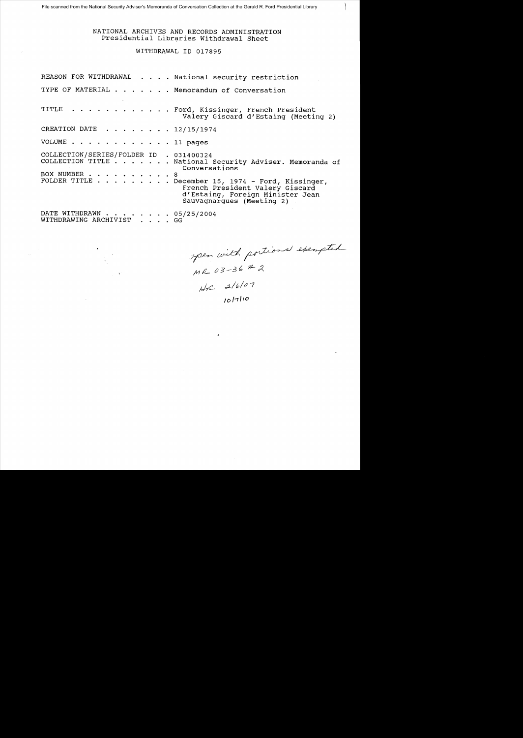# NATIONAL ARCHIVES AND RECORDS ADMINISTRATION Presidential Libraries Withdrawal Sheet

WITHDRAWAL 10 017895

|                                                         |  | REASON FOR WITHDRAWAL National security restriction                                                                                                                                                                                         |
|---------------------------------------------------------|--|---------------------------------------------------------------------------------------------------------------------------------------------------------------------------------------------------------------------------------------------|
|                                                         |  | TYPE OF MATERIAL Memorandum of Conversation                                                                                                                                                                                                 |
|                                                         |  | TITLE Ford, Kissinger, French President<br>Valery Giscard d'Estaing (Meeting 2)                                                                                                                                                             |
| CREATION DATE 12/15/1974                                |  |                                                                                                                                                                                                                                             |
| VOLUME 11 pages                                         |  |                                                                                                                                                                                                                                             |
| COLLECTION/SERIES/FOLDER ID . 031400324<br>BOX NUMBER 8 |  | COLLECTION TITLE National Security Adviser. Memoranda of<br>Conversations<br>FOLDER TITLE $\cdots$ December 15, 1974 - Ford, Kissinger,<br>French President Valery Giscard<br>d'Estaing, Foreign Minister Jean<br>Sauvagnargues (Meeting 2) |
| DATE WITHDRAWN 05/25/2004<br>WITHDRAWING ARCHIVIST GG   |  |                                                                                                                                                                                                                                             |

ypen with portional exempted

 $H - 216/27$ 

 $10^{17/10}$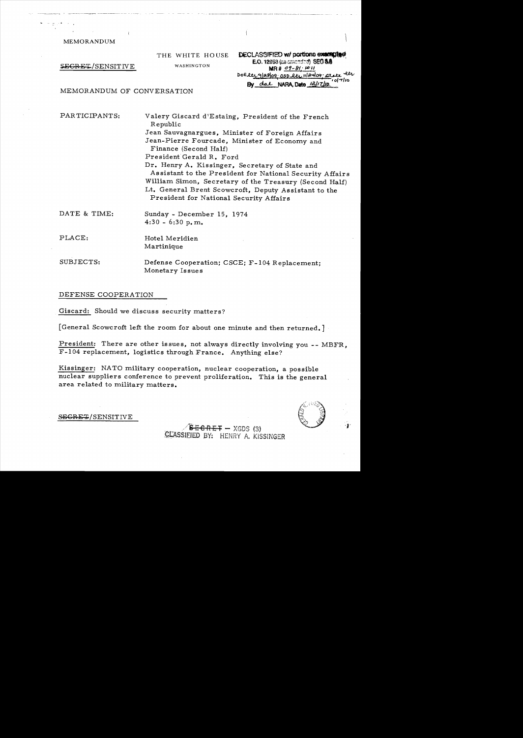MEMORANDUM

------(-, ) --\_.\_---- ~-~~

SEGRET/SENSITIVE WASHINGTON

THE WHITE HOUSE

DECLASSIFIED w/ portions exampled E.O. 12953 (as amended) SEO 3.8  $MR# 09 - 81 + 1411$ DOElty glaslog osp lty 11/24/09 arate lts By dal NARA, Date 12/17/10

MEMORANDUM OF CONVERSATION

PAR TICIPANTS: Valery Giscard d'Estaing, President of the French Republic Jean Sauvagnargues, Minister of Foreign Affairs Jean-Pierre Fourcade, Minister of Economy and Finance (Second Half) President Gerald R. Ford Dr. Henry A. Kissinger, Secretary of State and Assistant to the President for National Security Affairs William Simon, Secretary of the Treasury (Second Half) Lt. General Brent Scowcroft, Deputy Assistant to the President for National Security Affairs

 $\frac{d}{2}$ 

# DATE & TIME: Sunday - December 15, 1974  $4:30 - 6:30 p,m$ .

PLACE: Hotel Meridien Martinique

SUBJECTS: Defense Cooperation; CSCE; F-l04 Replacement; Monetary Issues

# DEFENSE COOPERATION

SECRET/SENSITIVE

Giscard: Should we discuss security matters?

[General Scowcroft left the room for about one minute and then returned.]

President: There are other issues, not always directly involving you -- MBFR, F-l04 replacement, logistics through France. Anything else?

Kissinger: NATO military cooperation, nuclear cooperation, a possible nuclear suppliers conference to prevent proliferation. This is the general area related to military matters.



 $-$ <del>CRET</del>  $-$  XGDS (3) CLASSIEIED BY: HENRY A. KISSINGER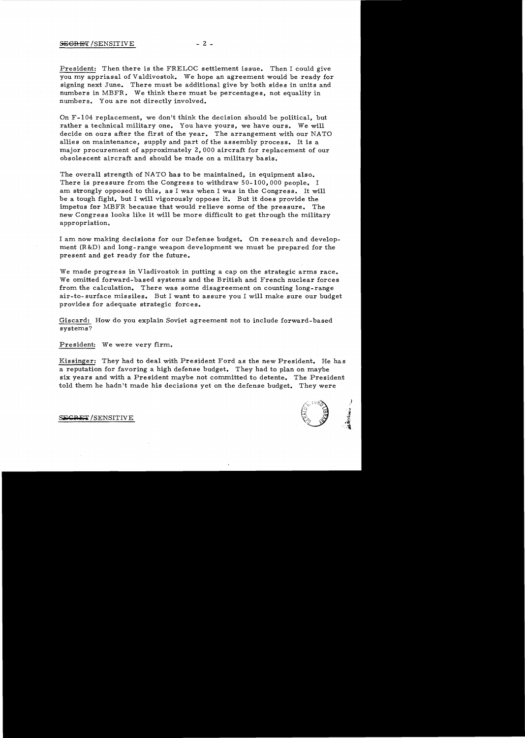President: Then there is the FRELOC settlement issue. Then I could give you my appriasal of Valdivostok. We hope an agreement would be ready for signing next June. There must be additional give by both sides in units and numbers in MBFR. We think there must be percentages, not equality in numbers. You are not directly involved.

On F -104 replacement, we don't think the decision should be political, but rather a technical military one. You have yours, we have ours. We will decide on ours after the first of the year. The arrangement with our NATO allies on maintenance, supply and part of the assembly process. It is a major procurement of approximately 2, 000 aircraft for replacement of our obsolescent aircraft and should be made on a military basis.

The overall strength of NATO has to be maintained, in equipment also. There is pressure from the Congress to withdraw 50-100,000 people. I am strongly opposed to this, as I was when I was in the Congress. It will be a tough fight, but I will vigorously oppose it. But it does provide the impetus for MBFR because that would relieve some of the pressure. The new Congress looks like it will be more difficult to get through the military appropriation.

I am now making decisions for our Defense budget. On research and development (R&D) and long-range weapon development we must be prepared for the present and get ready for the future.

We made progress in Vladivostok in putting a cap on the strategic arms race. We omitted forward- based systems and the British and French nuclear forces from the calculation. There was some disagreement on counting long-range air-to- surface missiles. But I want to assure you I will make sure our budget provides for adequate strategic forces.

Giscard: How do you explain Soviet agreement not to include forward-based systems?

President: We were very firm.

Kissinger: They had to deal with President Ford as the new President. He has a reputation for favoring a high defense budget. They had to plan on maybe six years and with a President maybe not committed to detente. The President told them he hadn't made his decisions yet on the defense budget. They were



S<del>ECRET</del> /SENSITIVE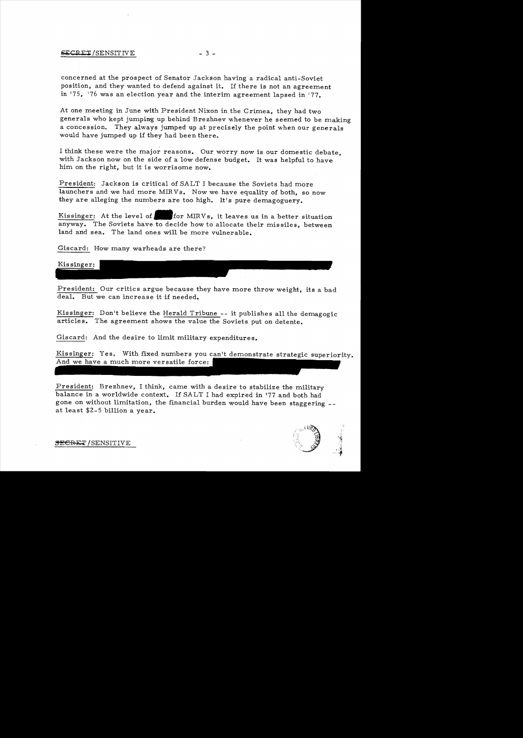## $S_{\text{ECRET}}/$ SENSITIVE  $-3$  -

concerned at the prospect of Senator Jackson having a radical anti-Soviet position, and they wanted to defend against it. If there is not an agreement in '75, '76 was an election year and the interim agreement lapsed in '77.

At one meeting in June with President Nixon in the Crimea, they had two generals who kept jumping up behind Brezhnev whenever he seemed to be making a concession. They always jumped up at precisely the point when Our generals would have jumped up if they had been there.

I think these were the major reasons. Our worry now is our domestic debate, with Jackson now on the side of a low defense budget. It was helpful to have him on the right, but it is worrisome now.

President: Jackson is critical of SALT I because the Soviets had more launchers and we had more MIRVs. Now we have equality of both, so now they are alleging the numbers are too high. It's pure demagoguery.

Kissinger: At the level of for MIRVs, it leaves us in a better situation anyway. The Soviets have to decide how to allocate their missiles, between land and sea. The land ones will be more vulnerable.

Giscard: How many warheads are there?

Kissinger:

President: Our critics argue beeause they have more throw weight, its a bad deal. But we can increase it if needed.

Kissinger: Don't believe the Herald Tribune -- it publishes all the demagogic article s. The agreement shows the value the Soviets put on detente.

Giscard: And the desire to limit military expenditures.

Kissinger: Yes. With fixed numbers you can't demonstrate strategic superiority. And we have a much more versatile force:

President: Brezhnev, I think, came with a desire to stabilize the military balance in a worldwide context. If SALT I had expired in [77 and both had gone on without limitation, the financial burden would have been staggering at least \$2- 5 billion a year.

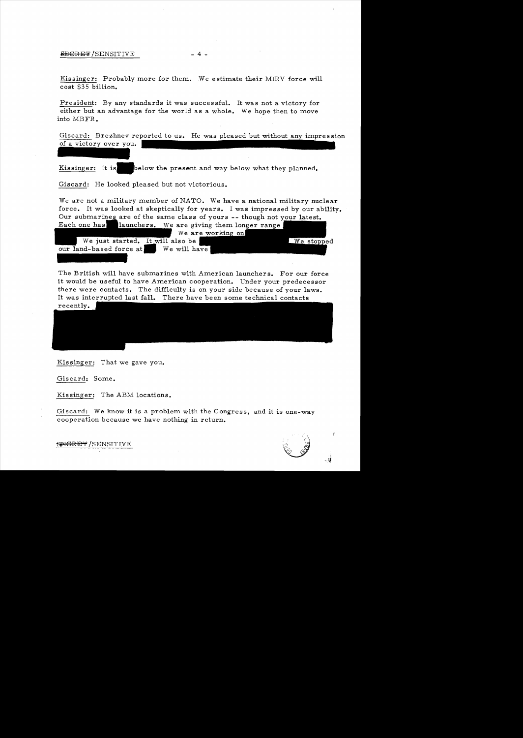#### $EEGREF/SENSITIVE$  - 4 -

Kissinger: Probably more for them. We estimate their MIRV force will cost \$35 billion.

President: By any standards it was successful. It was not a victory for either but an advantage for the world as a whole. We hope then to move into MBFR.

Giscard: Brezhnev reported to us. He was pleased but without any impression of a victory over you.

Kissinger: It is below the present and way below what they planned.

Giscard: He looked pleased but not victorious.

We are not a military member of NATO. We have a national military nuclear force. It was looked at skeptically for years. I was impressed by our ability. Our submarines are of the same class of yours -- though not your latest. Each one has  $\blacksquare$  launchers. We are giving them longer range

|                         |                                  | We are working on |            |
|-------------------------|----------------------------------|-------------------|------------|
|                         | We just started. It will also be |                   | We stopped |
| our land-based force at | We will have                     |                   |            |
|                         |                                  |                   |            |

The British will have submarines with American launchers. For our force it would be useful to have American cooperation. Under your predecessor there were contacts. The difficulty is on your side because of your laws. It was interrupted last fall. There have been some technical contacts recently.

Kissinger: That we gave you.

Giscard: Some.

Kissinger: The ABM locations.

Giscard: We know it is a problem with the Congress, and it is one-way cooperation because we have nothing in return.



 $S$ EGRET/SENSITIVE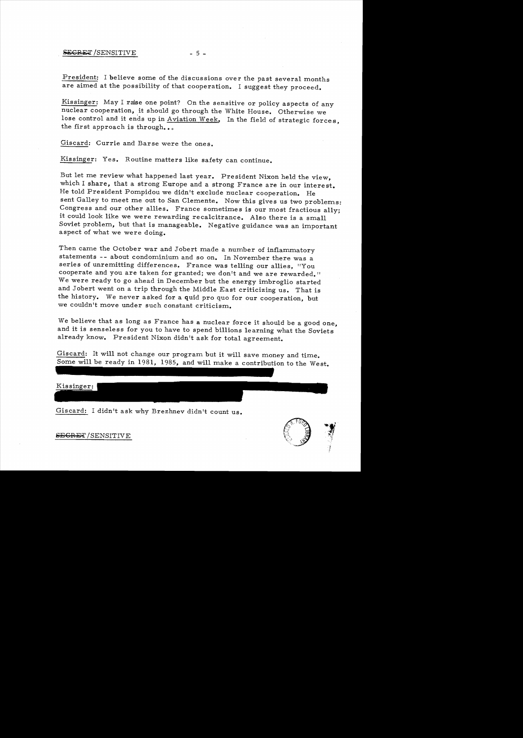President: I believe some of the discussions over the past several months are aimed at the possibility of that cooperation. I suggest they proceed.

Kissinger: May I raise one point? On the sensitive or policy aspects of any nuclear cooperation, it should go through the White House. Otherwise we lose control and it ends up in Aviation Week. In the field of strategic forces, the first approach is through...

Giscard: Currie and Barse were the ones.

Kissinger: Yes. Routine matters like safety can continue.

But let me review what happened last year. President Nixon held the view, which I share, that a strong Europe and a strong France are in our interest. He told President Pompidou we didn't exclude nuclear cooperation. He sent Galley to meet me out to San Clemente. Now this gives us two problems: Congress and our other allies. France sometimes is our most fractious ally; it could look like we were rewarding recalcitrance. Also there is a small Soviet problem, but that is manageable. Negative guidance was an important aspect of what we were doing.

Then came the October war and Jobert made a number of inflammatory statements -- about condominium and so on. In November there was a series of unremitting differences. France was telling our allies, "You cooperate and you are taken for granted; we don't and we are rewarded." We were ready to go ahead in December but the energy imbroglio started and Jobert went on a trip through the Middle East criticizing us. That is the history. We never asked for a quid pro quo for our cooperation, but we couldn't move under such constant criticism.

We believe that as long as France has a nuclear force it should be a good one, and it is senseless for you to have to spend billions learning what the Soviets already know. President Nixon didn't ask for total agreement.

Giscard: It will not change our program but it will save money and time. Some will be ready in 1981, 1985, and will make a contribution to the West.

# Kissinger:

Giscard: I didn't ask why Brezhnev didn't count us.



SEGRET/SENSITIVE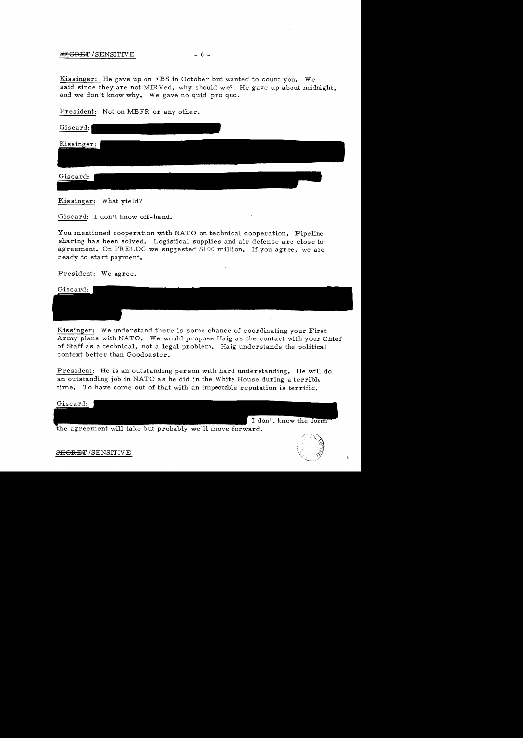# $SEGRET/SENSITIVE$  - 6 -

Kissinger: He gave up on FBS in October but wanted to count you. We said since they are not MIR Ved, why should we? He gave up about midnight, and we don't know why. We gave no quid pro quo.

President: Not on MBFR or any other.

Giscard:

Kissinger:

Giscard:

Kis singer: What yield?

Giscard: I don't know off-hand.

You mentioned cooperation with NATO on technical cooperation. Pipeline sharing has been solved. Logistical supplies and air defense are close to agreement. On FRELOC we suggested \$100 million. If you agree, we are ready to start payment.

President: We agree.

Giscard:

Kissinger: We understand there is some chance of coordinating your First Army plans with NATO. We would propose Haig as the contact with your Chief of Staff as a technical, not a legal problem. Haig understands the political context better than Goodpaster.

President: He is an outstanding person with hard understanding. He will do an outstanding job in NATO as he did in the White House during a terrible time. To have come out of that with an impeccable reputation is terrific.

Giscard:

the agreement will take but probably we'll move forward.



I don't know the form

S<del>ECRET</del>/SENSITIVE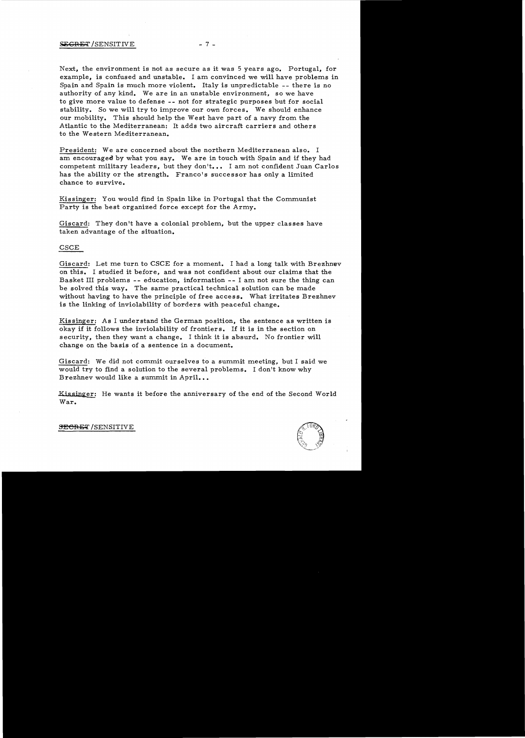#### $SEGRET / SENSITIVE$  - 7 -

Next, the environment is not as secure as it was 5 years ago. Portugal, for example, is confused and unstable. I am convinced we will have problems in Spain and Spain is much more violent. Italy is unpredictable -- there is no authority of any kind. We are in an unstable environment, so we have to give more value to defense - - not for strategic purposes but for social stability. So we will try to improve our own forces. We should enhance our mobility. This should help the West have part of a navy from the Atlantic to the Mediterranean: It adds two aircraft carriers and others to the Western Mediterranean.

President: We are concerned about the northern Mediterranean also. I am encouraged by what you say. We are in touch with Spain and if they had competent military leaders, but they don't. •• I am not confident Juan Carlos has the ability or the strength. Franco's successor has only a limited chance to survive.

Kissinger: You would find in Spain like in Portugal that the Communist Party is the best organized force except for the Army.

Giscard: They don't have a colonial problem, but the upper classes have taken advantage of the situation.

# CSCE

Giscard: Let me turn to CSCE for a moment. I had a long talk with Brezhnev on this. I studied it before, and was not confident about our claims that the Basket III problems - - education, information - - I am not sure the thing can be solved this way. The same practical technical solution can be made without having to have the principle of free access. What irritates Brezhnev is the linking of inviolability of borders with peaceful change.

Kissinger: As I understand the German position, the sentence as written is okay if it follows the inviolability of frontiers. If it is in the section on security, then they want a change. I think it is absurd. No frontier will change on the basis of a sentence in a document.

Giscard: We did not commit ourselves to a summit meeting, but I said we would try to find a solution to the several problems. I don't know why Brezhnev would like a summit in April...

Kissinger: He wants it before the anniversary of the end of the Second World<br>War.



**SECRET /SENSITIVE**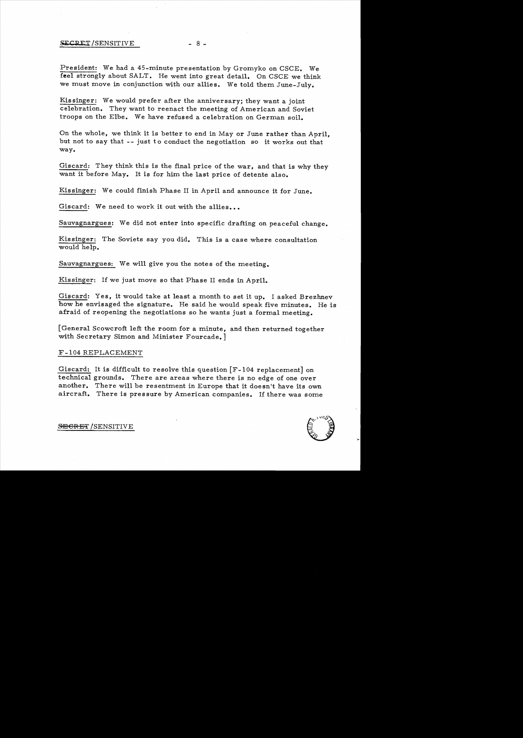#### SECRET/SENSITIVE - 8 -

President: We had a 45-minute presentation by Gromyko on CSCE. We feel strongly about SALT. He went into great detail. On CSCE we think we must move in conjunction with our allies. We told them June-July.

Kissinger: We would prefer after the anniversary; they want a joint celebration. They want to reenact the meeting of American and Soviet troops on the Elbe. We have refused a celebration on German soil.

On the whole, we think it is better to end in Mayor June rather than April, but not to say that - - just to conduct the negotiation so it works out that way.

Giscard: They think this is the final price of the war, and that is why they want it before May. It is for him the last price of detente also.

Kissinger: We could finish Phase II in April and announce it for June.

Giscard: We need to work it out with the allies...

Sauvagnargues: We did not enter into specific drafting on peaceful change.

Kissinger: The Soviets say you did. This is a case where consultation would help.

Sauvagnargues: We will give you the notes of the meeting.

Kissinger: If we just move so that Phase II ends in April.

Giscard: Yes, it would take at least a month to set it up. I asked Brezhnev how he envisaged the signature. He said he would speak five minutes. He is afraid of reopening the negotiations so he wants just a formal meeting.

[General Scowcroft left the room for a minute, and then returned together with Secretary Simon and Minister Fourcade. ]

#### F-I04 REPLACEMENT

Giscard: It is difficult to resolve this question [F-I04 replacement] on technical grounds. There are areas where there is no edge of one over another. There will be resentment in Europe that it doesn't have its own aircraft. There is pressure by American companies. If there was some

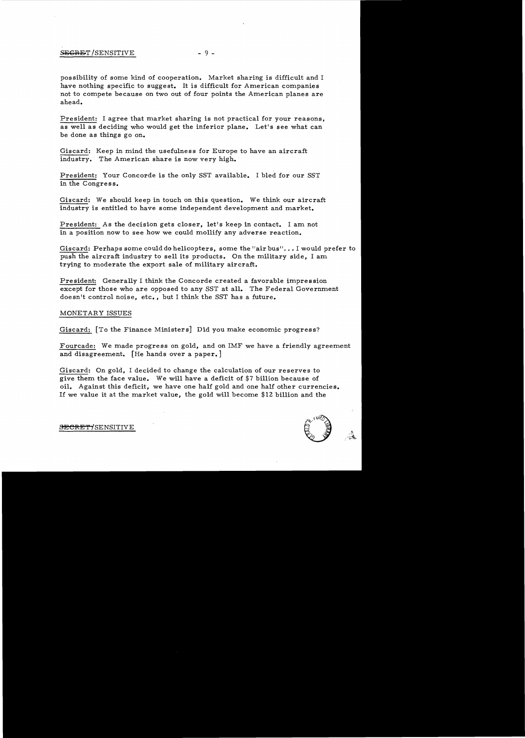# SECRET/SENSITIVE - 9 -

possibility of some kind of cooperation. Market sharing is difficult and I have nothing specific to suggest. It is difficult for American companies not to compete because on two out of four points the American planes are ahead.

President: I agree that market sharing is not practical for your reasons, as well as deciding who would get the inferior plane. Let's see what can be done as things go on.

Giscard: Keep in mind the usefulness for Europe to have an aircraft industry. The American share is now very high.

President: Your Concorde is the only SST available. I bled for our SST in the Congress.

Giscard: We should keep in touch on this question. We think our aircraft industry is entitled to have some independent development and market.

President: As the decision gets closer, let's keep in contact. I am not in a position now to see how we could mollify any adverse reaction.

Giscard: Perhaps some could do helicopters, some the "air bus"... I would prefer to push the aircraft industry to sell its products. On the military side, I am trying to moderate the export sale of military aircraft.

President: Generally I think the Concorde created a favorable impression except for those who are opposed to any SST at all. The Federal Government doesn't control noise, etc., but I think the SST has a future.

# MONETARY ISSUES

Giscard: [To the Finance Ministers] Did you make economic progress?

Fourcade: We made progress on gold, and on IMF we have a friendly agreement and disagreement. [He hands over a paper. ]

Giscard: On gold, I decided to change the calculation of our reserves to give them the face value. We will have a deficit of \$7 billion because of oil. Against this deficit, we have one half gold and one half other currencies. If we value it at the market value, the gold will become \$12 billion and the



**SECRET/SENSITIVE**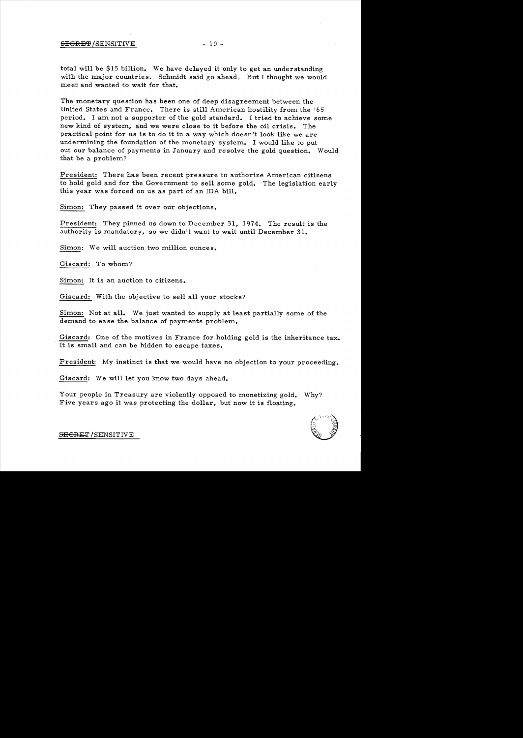# SEGRET/SENSITIVE - 10 -

total will be \$15 billion. We have delayed it only to get an understanding with the major countries. Schmidt said go ahead. But I thought we would meet and wanted to wait for that.

The monetary question has been one of deep disagreement between the United States and France. There is still American hostility from the '65 period. I am not a supporter of the gold standard. I tried to achieve some new kind of system, and we were close to it before the oil crisis. The practical point for us is to do it in a way which doesn't look like we are undermining the foundation of the monetary system. I would like to put out our balance of payments in January and resolve the gold question. Would that be a problem?

President: There has been recent pressure to authorize American citizens to hold gold and for the Government to sell some gold. The legislation early this year was forced on us as part of an IDA bill.

Simon: They passed it over our objections.

President: They pinned us down to December 31, 1974. The result is the authority is mandatory, so we didn't want to wait until December 31.

Simon: We will auction two million ounces.

Giscard: To whom?

Simon: It is an auction to citizens.

Giscard: With the objective to sell all your stocks?

Simon: Not at all. We just wanted to supply at least partially some of the demand to ease the balance of payments problem.

Giscard: One of the motives in France for holding gold is the inheritance tax. It is small and can be hidden to escape taxes.

President: My instinct is that we would have no objection to your proceeding.

Giscard: We will let you know two days ahead.

Your people in Treasury are violently opposed to monetizing gold. Why? Five years ago it was protecting the dollar, but now it is floating.



SEGRET/SENSITIVE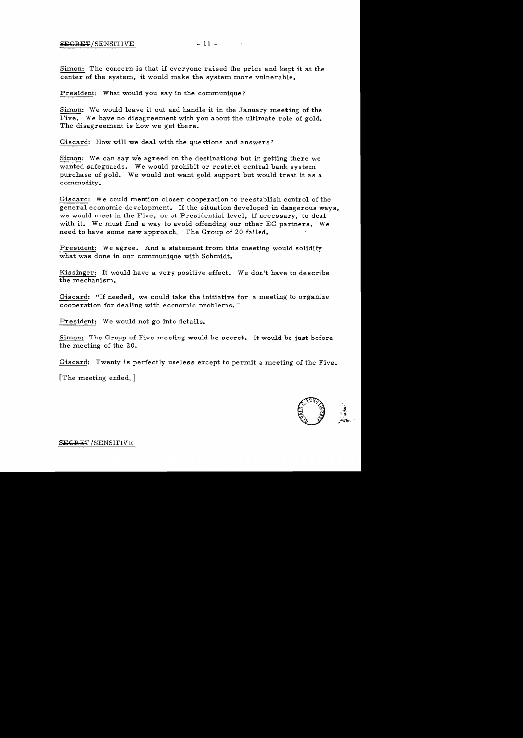Simon: The concern is that if everyone raised the price and kept it at the center of the system, it would make the system more vulnerable.

President: What would you say in the communique?

Simon: We would leave it out and handle it in the January meeting of the Five. We have no disagreement with you about the ultimate role of gold. The disagreement is how we get there.

Giscard: How will we deal with the questions and answers?

Simon: We can say we agreed on the destinations but in getting there we wanted safeguards. We would prohibit or restrict central bank system purchase of gold. We would not want gold support but would treat it as a commodity.

Giscard: We could mention closer cooperation to reestablish control of the general economic development. If the situation developed in dangerous ways, we would meet in the Five, or at Presidential level, if necessary, to deal with it. We must find a way to avoid offending our other EC partners. We need to have some new approach. The Group of 20 failed.

President: We agree. And a statement from this meeting would solidify what was done in our communique with Schmidt.

Kissinger: It would have a very positive effect. We don't have to describe the mechanism.

Giscard: "If needed, we could take the initiative for a meeting to organize cooperation for dealing with economic problems."

President: We would not go into details.

Simon: The Group of Five meeting would be secret. It would be just before the meeting of the 20.

Giscard: Twenty is perfectly useless except to permit a meeting of the Five.

[The meeting ended,]



J; ",~ ,.~;'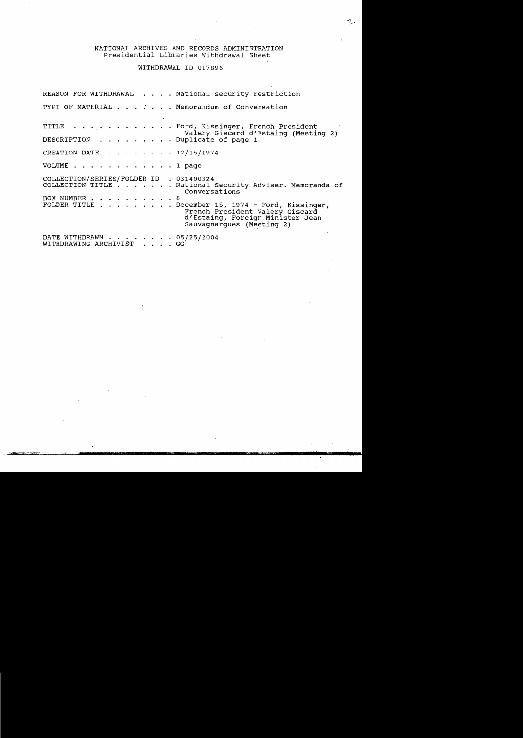#### NATIONAL ARCHIVES AND RECORDS ADMINISTRATION Presidential Libraries Withdrawal Sheet

# WITHDRAWAL ID 017896

REASON FOR WITHDRAWAL . . . . National security restriction TYPE OF MATERIAL . . . . . . Memorandum of Conversation TITLE . . . . . . . . . . . . Ford, Kissinger, French President Valery Giscard d'Estaing (Meeting 2) DESCRIPTION . . . . . . . . Duplicate of page 1 CREATION DATE  $\ldots$ , . . . . 12/15/1974 VOLUME . . . . . . . . . . . 1 page COLLECTION/SERIES/FOLDER ID . 031400324 COLLECTION TITLE ... . National Security Adviser. Memoranda of Conversations BOX NUMBER . . . . . . . . . . 8<br>FOLDER TITLE . . . . . . . . D December 15, 1974 - Ford, Kissinger, French President Valery Giscard d'Estaing, Foreign Minister Jean Sauvagnargues (Meeting 2) DATE WITHDRAWN  $\ldots$ , . . . . . 05/25/2004<br>WITHDRAWING ARCHIVIST . . . . GG WITHDRAWING ARCHIVIST . . . .